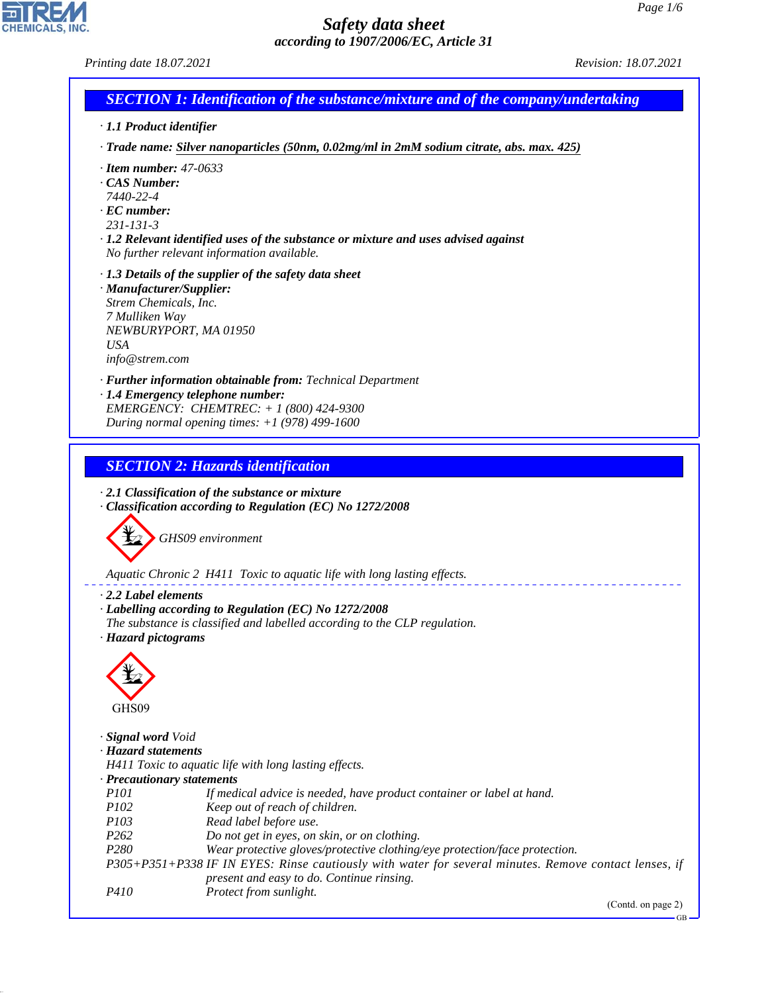*Printing date 18.07.2021 Revision: 18.07.2021*

**CHEMICALS.** 

| $\Box$ SECTION 1: Identification of the substance/mixture and of the company/undertaking                             |  |
|----------------------------------------------------------------------------------------------------------------------|--|
| $\mathbf{1}$ $\mathbf{1}$ $\mathbf{1}$ $\mathbf{1}$ $\mathbf{1}$ $\mathbf{1}$ $\mathbf{1}$ $\mathbf{1}$ $\mathbf{1}$ |  |

*· 1.1 Product identifier*

*· Trade name: Silver nanoparticles (50nm, 0.02mg/ml in 2mM sodium citrate, abs. max. 425)*

- *· Item number: 47-0633*
- *· CAS Number:*
- *7440-22-4*
- *· EC number:*
- *231-131-3*

*· 1.2 Relevant identified uses of the substance or mixture and uses advised against No further relevant information available.*

- *· 1.3 Details of the supplier of the safety data sheet*
- *· Manufacturer/Supplier: Strem Chemicals, Inc. 7 Mulliken Way NEWBURYPORT, MA 01950 USA info@strem.com*

*· Further information obtainable from: Technical Department · 1.4 Emergency telephone number: EMERGENCY: CHEMTREC: + 1 (800) 424-9300 During normal opening times: +1 (978) 499-1600*

*SECTION 2: Hazards identification*

*· 2.1 Classification of the substance or mixture · Classification according to Regulation (EC) No 1272/2008*



*Aquatic Chronic 2 H411 Toxic to aquatic life with long lasting effects.*

*· 2.2 Label elements*

- *· Labelling according to Regulation (EC) No 1272/2008*
- *The substance is classified and labelled according to the CLP regulation.*
- *· Hazard pictograms*



44.1.1

| GHS09               |                                                                                                       |
|---------------------|-------------------------------------------------------------------------------------------------------|
| Signal word Void    |                                                                                                       |
| · Hazard statements |                                                                                                       |
|                     | H411 Toxic to aquatic life with long lasting effects.                                                 |
|                     | $\cdot$ Precautionary statements                                                                      |
| <i>P101</i>         | If medical advice is needed, have product container or label at hand.                                 |
| <i>P102</i>         | Keep out of reach of children.                                                                        |
| <i>P103</i>         | Read label before use.                                                                                |
| P <sub>262</sub>    | Do not get in eyes, on skin, or on clothing.                                                          |
| P <sub>280</sub>    | Wear protective gloves/protective clothing/eye protection/face protection.                            |
|                     | P305+P351+P338 IF IN EYES: Rinse cautiously with water for several minutes. Remove contact lenses, if |
|                     | present and easy to do. Continue rinsing.                                                             |
| <i>P410</i>         | <i>Protect from sunlight.</i>                                                                         |
|                     |                                                                                                       |

(Contd. on page 2)

GB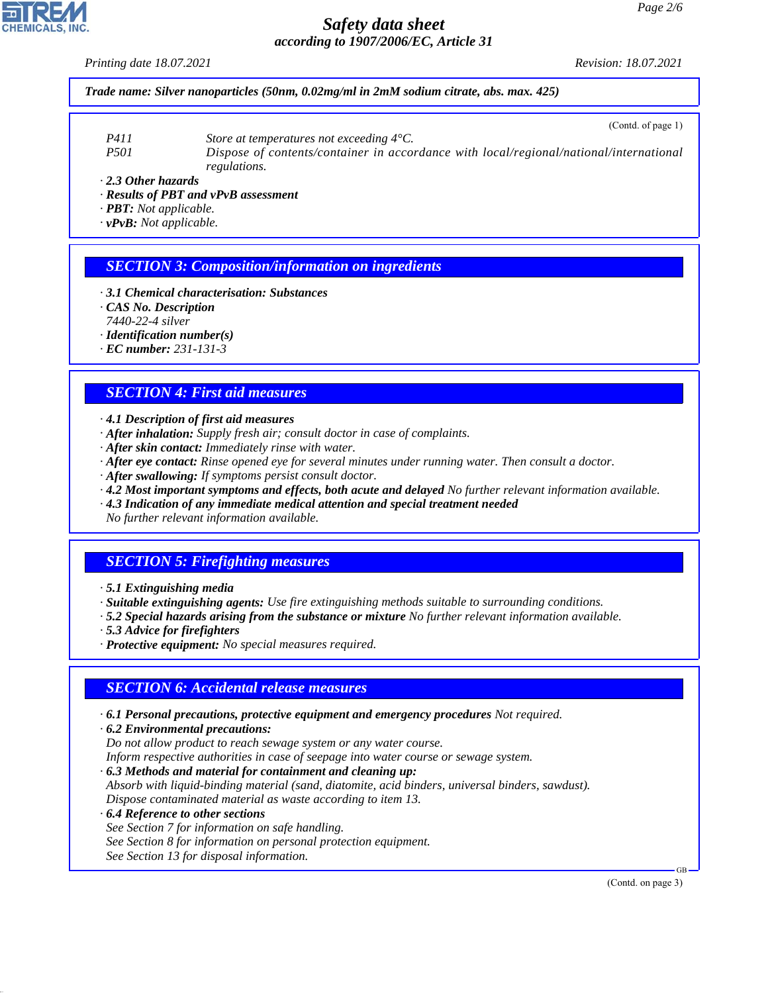*Printing date 18.07.2021 Revision: 18.07.2021*

*Trade name: Silver nanoparticles (50nm, 0.02mg/ml in 2mM sodium citrate, abs. max. 425)*

- *P411 Store at temperatures not exceeding 4°C.*
- *P501 Dispose of contents/container in accordance with local/regional/national/international regulations.*

*· 2.3 Other hazards*

- *· Results of PBT and vPvB assessment*
- *· PBT: Not applicable.*

*· vPvB: Not applicable.*

### *SECTION 3: Composition/information on ingredients*

- *· 3.1 Chemical characterisation: Substances*
- *· CAS No. Description*
- *7440-22-4 silver*
- *· Identification number(s)*
- *· EC number: 231-131-3*

### *SECTION 4: First aid measures*

- *· 4.1 Description of first aid measures*
- *· After inhalation: Supply fresh air; consult doctor in case of complaints.*
- *· After skin contact: Immediately rinse with water.*
- *· After eye contact: Rinse opened eye for several minutes under running water. Then consult a doctor.*
- *· After swallowing: If symptoms persist consult doctor.*
- *· 4.2 Most important symptoms and effects, both acute and delayed No further relevant information available.*
- *· 4.3 Indication of any immediate medical attention and special treatment needed*

*No further relevant information available.*

## *SECTION 5: Firefighting measures*

- *· 5.1 Extinguishing media*
- *· Suitable extinguishing agents: Use fire extinguishing methods suitable to surrounding conditions.*
- *· 5.2 Special hazards arising from the substance or mixture No further relevant information available.*
- *· 5.3 Advice for firefighters*
- *· Protective equipment: No special measures required.*

#### *SECTION 6: Accidental release measures*

- *· 6.1 Personal precautions, protective equipment and emergency procedures Not required.*
- *· 6.2 Environmental precautions: Do not allow product to reach sewage system or any water course. Inform respective authorities in case of seepage into water course or sewage system.*
- *· 6.3 Methods and material for containment and cleaning up: Absorb with liquid-binding material (sand, diatomite, acid binders, universal binders, sawdust). Dispose contaminated material as waste according to item 13.*
- *· 6.4 Reference to other sections See Section 7 for information on safe handling. See Section 8 for information on personal protection equipment. See Section 13 for disposal information.*

(Contd. on page 3)

GB



44.1.1

(Contd. of page 1)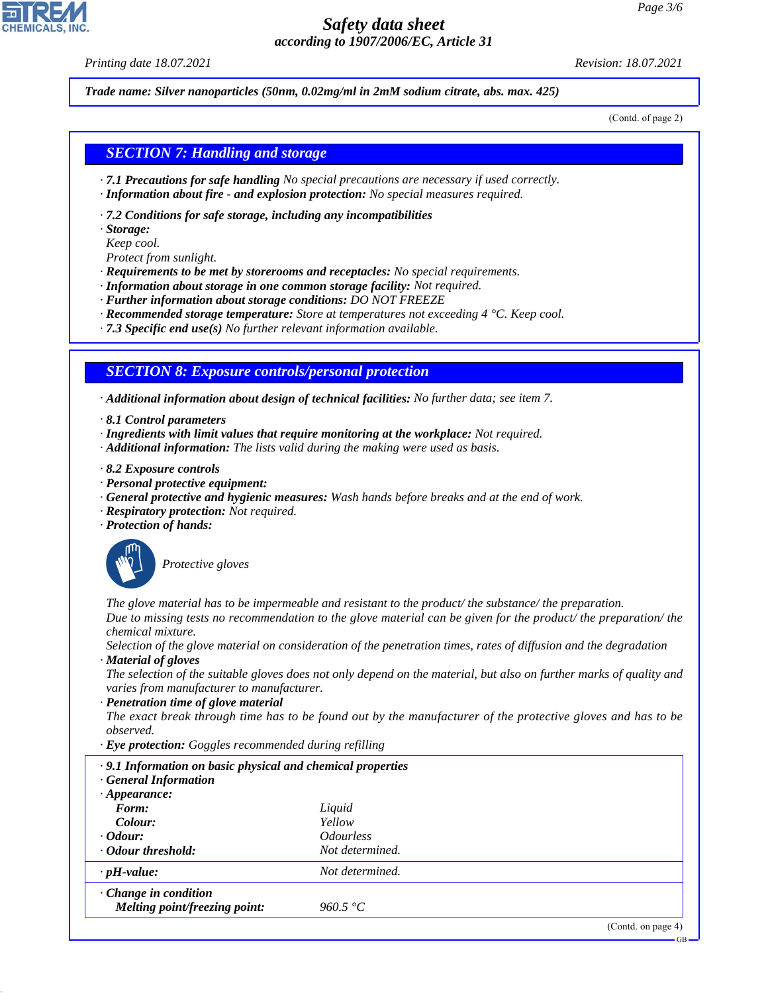*Printing date 18.07.2021 Revision: 18.07.2021*

*Trade name: Silver nanoparticles (50nm, 0.02mg/ml in 2mM sodium citrate, abs. max. 425)*

(Contd. of page 2)

#### *SECTION 7: Handling and storage*

- *· 7.1 Precautions for safe handling No special precautions are necessary if used correctly.*
- *· Information about fire and explosion protection: No special measures required.*
- *· 7.2 Conditions for safe storage, including any incompatibilities*
- *· Storage:*
- *Keep cool.*
- *Protect from sunlight.*
- *· Requirements to be met by storerooms and receptacles: No special requirements.*
- *· Information about storage in one common storage facility: Not required.*
- *· Further information about storage conditions: DO NOT FREEZE*
- *· Recommended storage temperature: Store at temperatures not exceeding 4 °C. Keep cool.*
- *· 7.3 Specific end use(s) No further relevant information available.*

### *SECTION 8: Exposure controls/personal protection*

*· Additional information about design of technical facilities: No further data; see item 7.*

- *· 8.1 Control parameters*
- *· Ingredients with limit values that require monitoring at the workplace: Not required.*
- *· Additional information: The lists valid during the making were used as basis.*
- *· 8.2 Exposure controls*
- *· Personal protective equipment:*
- *· General protective and hygienic measures: Wash hands before breaks and at the end of work.*
- *· Respiratory protection: Not required.*
- *· Protection of hands:*



44.1.1

\_S*Protective gloves*

*The glove material has to be impermeable and resistant to the product/ the substance/ the preparation. Due to missing tests no recommendation to the glove material can be given for the product/ the preparation/ the chemical mixture.*

*Selection of the glove material on consideration of the penetration times, rates of diffusion and the degradation · Material of gloves*

*The selection of the suitable gloves does not only depend on the material, but also on further marks of quality and varies from manufacturer to manufacturer.*

*· Penetration time of glove material*

*The exact break through time has to be found out by the manufacturer of the protective gloves and has to be observed.*

*· Eye protection: Goggles recommended during refilling*

| .9.1 Information on basic physical and chemical properties<br><b>General Information</b> |                                |  |  |  |
|------------------------------------------------------------------------------------------|--------------------------------|--|--|--|
| $\cdot$ Appearance:                                                                      |                                |  |  |  |
| Form:                                                                                    | Liquid                         |  |  |  |
| Colour:                                                                                  | Yellow                         |  |  |  |
| $\cdot$ Odour:                                                                           | <i><u><b>Odourless</b></u></i> |  |  |  |
| · Odour threshold:                                                                       | Not determined.                |  |  |  |
| $\cdot$ pH-value:                                                                        | Not determined.                |  |  |  |
| $\cdot$ Change in condition                                                              |                                |  |  |  |
| Melting point/freezing point:                                                            | 960.5 °C                       |  |  |  |
|                                                                                          |                                |  |  |  |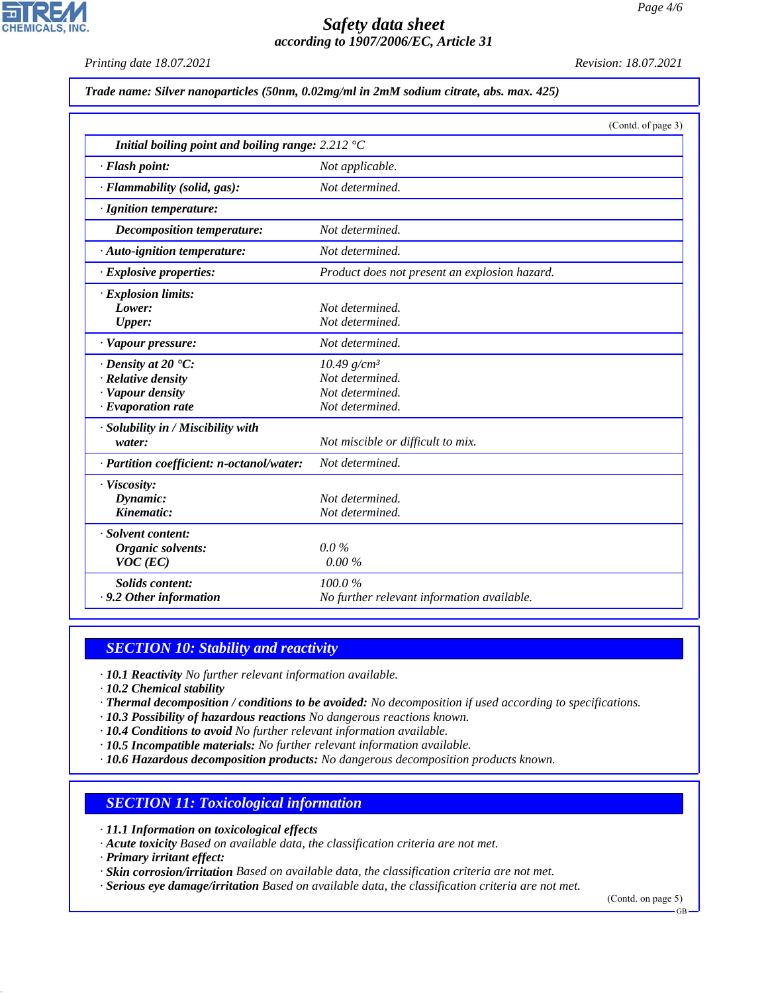*Printing date 18.07.2021 Revision: 18.07.2021*

**CHEMICALS, INC** 

*Trade name: Silver nanoparticles (50nm, 0.02mg/ml in 2mM sodium citrate, abs. max. 425)*

|                                                                    | (Contd. of page 3)                            |
|--------------------------------------------------------------------|-----------------------------------------------|
| Initial boiling point and boiling range: $2.212 \text{ }^{\circ}C$ |                                               |
| · Flash point:                                                     | Not applicable.                               |
| · Flammability (solid, gas):                                       | Not determined.                               |
| · Ignition temperature:                                            |                                               |
| <b>Decomposition temperature:</b>                                  | Not determined.                               |
| · Auto-ignition temperature:                                       | Not determined.                               |
| $\cdot$ Explosive properties:                                      | Product does not present an explosion hazard. |
| · Explosion limits:                                                |                                               |
| Lower:                                                             | Not determined.                               |
| Upper:                                                             | Not determined.                               |
| · Vapour pressure:                                                 | Not determined.                               |
| $\cdot$ Density at 20 $\textdegree$ C:                             | $10.49$ g/cm <sup>3</sup>                     |
| · Relative density                                                 | Not determined.                               |
| · Vapour density                                                   | Not determined.                               |
| $\cdot$ Evaporation rate                                           | Not determined.                               |
| · Solubility in / Miscibility with                                 |                                               |
| water:                                                             | Not miscible or difficult to mix.             |
| · Partition coefficient: n-octanol/water:                          | Not determined.                               |
| · Viscosity:                                                       |                                               |
| Dynamic:                                                           | Not determined.                               |
| Kinematic:                                                         | Not determined.                               |
| · Solvent content:                                                 |                                               |
| Organic solvents:                                                  | $0.0\%$                                       |
| $VOC$ (EC)                                                         | 0.00%                                         |
| <b>Solids content:</b>                                             | 100.0%                                        |
| . 9.2 Other information                                            | No further relevant information available.    |

# *SECTION 10: Stability and reactivity*

*· 10.1 Reactivity No further relevant information available.*

*· 10.2 Chemical stability*

*· Thermal decomposition / conditions to be avoided: No decomposition if used according to specifications.*

- *· 10.3 Possibility of hazardous reactions No dangerous reactions known.*
- *· 10.4 Conditions to avoid No further relevant information available.*

*· 10.5 Incompatible materials: No further relevant information available.*

*· 10.6 Hazardous decomposition products: No dangerous decomposition products known.*

## *SECTION 11: Toxicological information*

*· 11.1 Information on toxicological effects*

*· Acute toxicity Based on available data, the classification criteria are not met.*

*· Primary irritant effect:*

44.1.1

*· Skin corrosion/irritation Based on available data, the classification criteria are not met.*

*· Serious eye damage/irritation Based on available data, the classification criteria are not met.*

(Contd. on page 5)

GB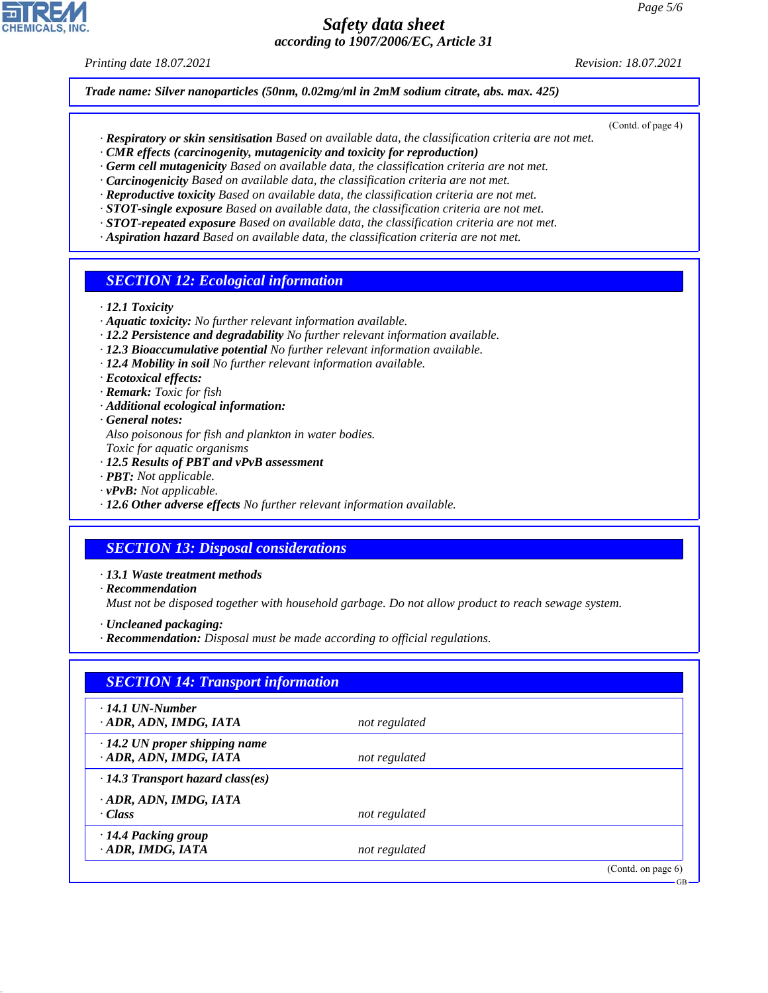*Printing date 18.07.2021 Revision: 18.07.2021*

*Trade name: Silver nanoparticles (50nm, 0.02mg/ml in 2mM sodium citrate, abs. max. 425)*

- (Contd. of page 4)
- *· Respiratory or skin sensitisation Based on available data, the classification criteria are not met.*
- *· CMR effects (carcinogenity, mutagenicity and toxicity for reproduction)*
- *· Germ cell mutagenicity Based on available data, the classification criteria are not met. · Carcinogenicity Based on available data, the classification criteria are not met.*
- *· Reproductive toxicity Based on available data, the classification criteria are not met.*
- *· STOT-single exposure Based on available data, the classification criteria are not met.*
- *· STOT-repeated exposure Based on available data, the classification criteria are not met.*
- *· Aspiration hazard Based on available data, the classification criteria are not met.*

#### *SECTION 12: Ecological information*

- *· 12.1 Toxicity*
- *· Aquatic toxicity: No further relevant information available.*
- *· 12.2 Persistence and degradability No further relevant information available.*
- *· 12.3 Bioaccumulative potential No further relevant information available.*
- *· 12.4 Mobility in soil No further relevant information available.*
- *· Ecotoxical effects:*
- *· Remark: Toxic for fish*
- *· Additional ecological information:*
- *· General notes:*
- *Also poisonous for fish and plankton in water bodies.*
- *Toxic for aquatic organisms*
- *· 12.5 Results of PBT and vPvB assessment*
- *· PBT: Not applicable.*
- *· vPvB: Not applicable.*
- *· 12.6 Other adverse effects No further relevant information available.*

#### *SECTION 13: Disposal considerations*

- *· 13.1 Waste treatment methods*
- *· Recommendation*

44.1.1

*Must not be disposed together with household garbage. Do not allow product to reach sewage system.*

- *· Uncleaned packaging:*
- *· Recommendation: Disposal must be made according to official regulations.*

| $\cdot$ 14.1 UN-Number                  |               |  |
|-----------------------------------------|---------------|--|
| ADR, ADN, IMDG, IATA                    | not regulated |  |
| $\cdot$ 14.2 UN proper shipping name    |               |  |
| · ADR, ADN, IMDG, IATA                  | not regulated |  |
| $\cdot$ 14.3 Transport hazard class(es) |               |  |
| ADR, ADN, IMDG, IATA                    |               |  |
| · Class                                 | not regulated |  |
| · 14.4 Packing group                    |               |  |
| · ADR, IMDG, IATA                       | not regulated |  |